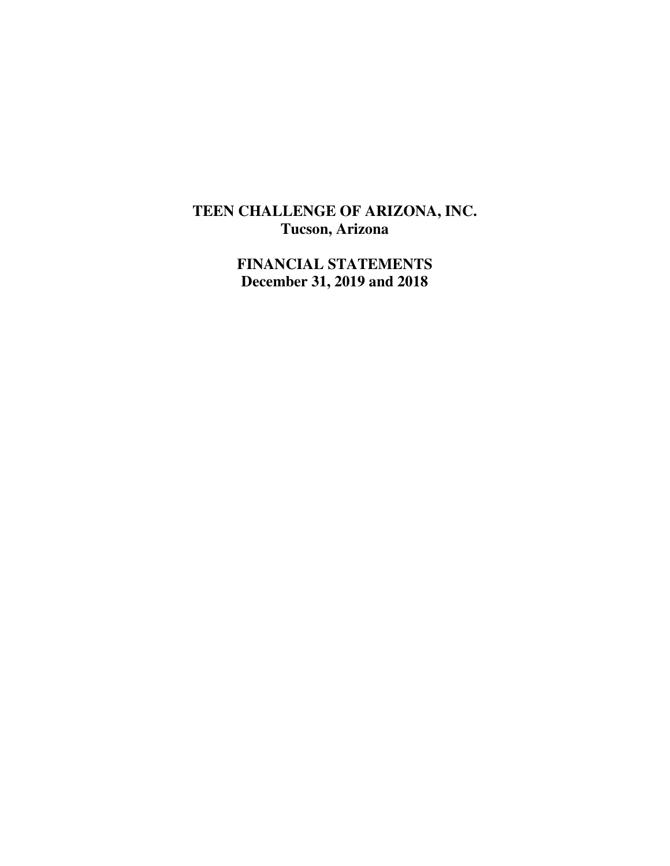# **TEEN CHALLENGE OF ARIZONA, INC. Tucson, Arizona**

**FINANCIAL STATEMENTS December 31, 2019 and 2018**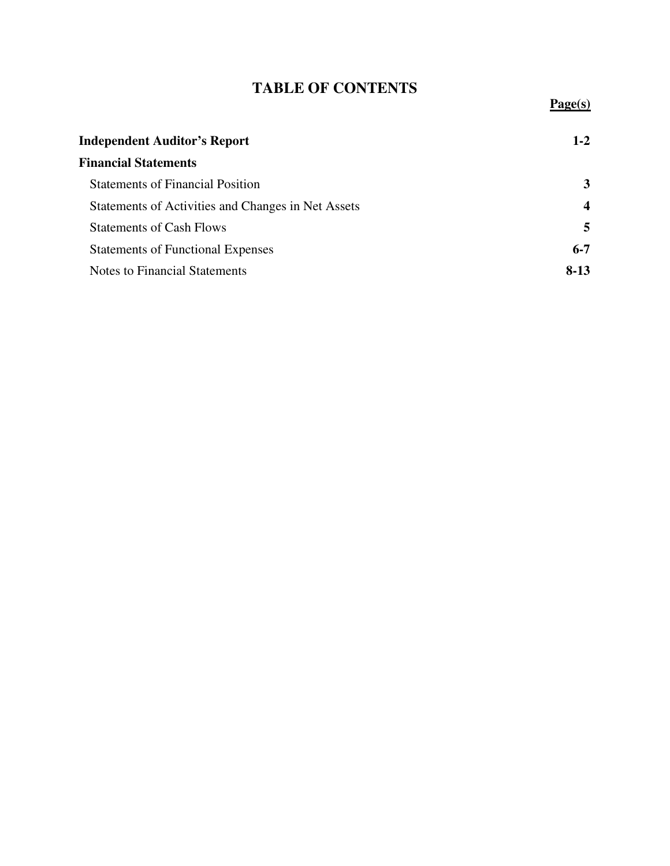# **TABLE OF CONTENTS**

**Page(s)**

| <b>Independent Auditor's Report</b>                |                  |
|----------------------------------------------------|------------------|
| <b>Financial Statements</b>                        |                  |
| <b>Statements of Financial Position</b>            | 3                |
| Statements of Activities and Changes in Net Assets | $\boldsymbol{4}$ |
| <b>Statements of Cash Flows</b>                    | 5                |
| <b>Statements of Functional Expenses</b>           | $6 - 7$          |
| <b>Notes to Financial Statements</b>               | $8-13$           |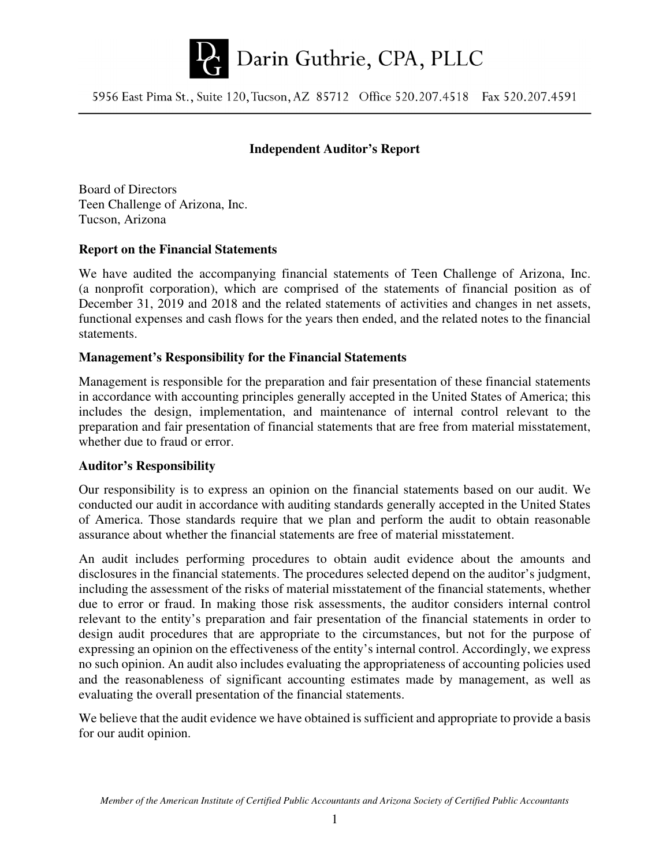

5956 East Pima St., Suite 120, Tucson, AZ 85712 Office 520.207.4518 Fax 520.207.4591

#### **Independent Auditor's Report**

Board of Directors Teen Challenge of Arizona, Inc. Tucson, Arizona

#### **Report on the Financial Statements**

We have audited the accompanying financial statements of Teen Challenge of Arizona, Inc. (a nonprofit corporation), which are comprised of the statements of financial position as of December 31, 2019 and 2018 and the related statements of activities and changes in net assets, functional expenses and cash flows for the years then ended, and the related notes to the financial statements.

#### **Management's Responsibility for the Financial Statements**

Management is responsible for the preparation and fair presentation of these financial statements in accordance with accounting principles generally accepted in the United States of America; this includes the design, implementation, and maintenance of internal control relevant to the preparation and fair presentation of financial statements that are free from material misstatement, whether due to fraud or error.

#### **Auditor's Responsibility**

Our responsibility is to express an opinion on the financial statements based on our audit. We conducted our audit in accordance with auditing standards generally accepted in the United States of America. Those standards require that we plan and perform the audit to obtain reasonable assurance about whether the financial statements are free of material misstatement.

An audit includes performing procedures to obtain audit evidence about the amounts and disclosures in the financial statements. The procedures selected depend on the auditor's judgment, including the assessment of the risks of material misstatement of the financial statements, whether due to error or fraud. In making those risk assessments, the auditor considers internal control relevant to the entity's preparation and fair presentation of the financial statements in order to design audit procedures that are appropriate to the circumstances, but not for the purpose of expressing an opinion on the effectiveness of the entity's internal control. Accordingly, we express no such opinion. An audit also includes evaluating the appropriateness of accounting policies used and the reasonableness of significant accounting estimates made by management, as well as evaluating the overall presentation of the financial statements.

We believe that the audit evidence we have obtained is sufficient and appropriate to provide a basis for our audit opinion.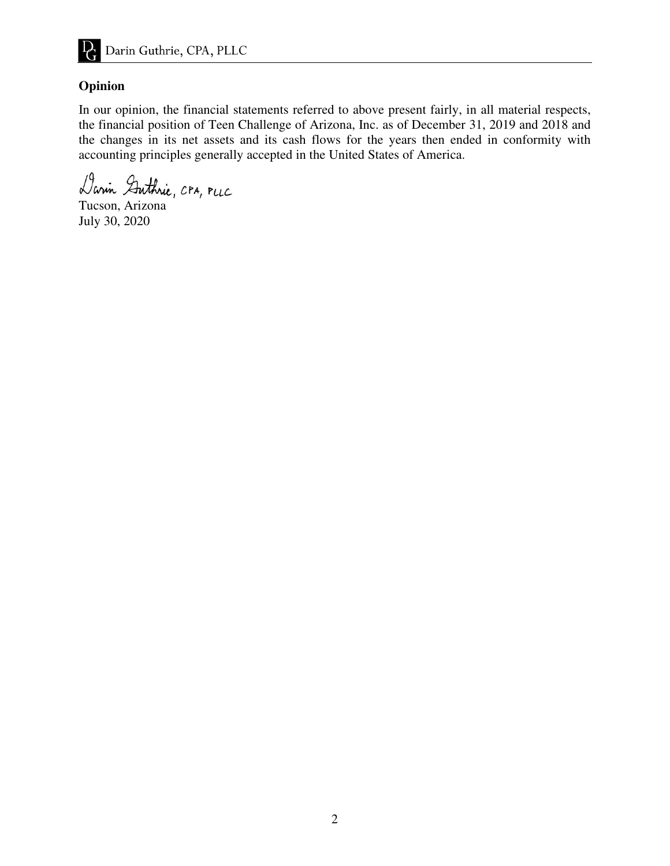

#### **Opinion**

In our opinion, the financial statements referred to above present fairly, in all material respects, the financial position of Teen Challenge of Arizona, Inc. as of December 31, 2019 and 2018 and the changes in its net assets and its cash flows for the years then ended in conformity with accounting principles generally accepted in the United States of America.

Darin Guthrie, CPA, PLLC

Tucson, Arizona July 30, 2020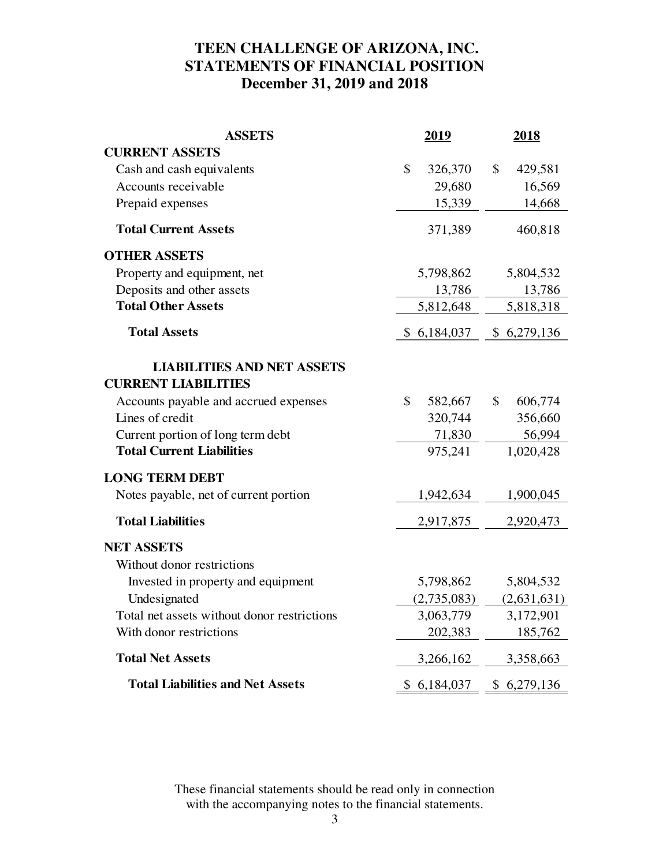## **TEEN CHALLENGE OF ARIZONA, INC. STATEMENTS OF FINANCIAL POSITION December 31, 2019 and 2018**

| <b>ASSETS</b>                               | <u>2019</u> |                          | <u>2018</u> |
|---------------------------------------------|-------------|--------------------------|-------------|
| <b>CURRENT ASSETS</b>                       |             |                          |             |
| Cash and cash equivalents                   | \$          | 326,370<br>$\mathcal{S}$ | 429,581     |
| Accounts receivable                         |             | 29,680                   | 16,569      |
| Prepaid expenses                            |             | 15,339                   | 14,668      |
| <b>Total Current Assets</b>                 |             | 371,389                  | 460,818     |
| <b>OTHER ASSETS</b>                         |             |                          |             |
| Property and equipment, net                 | 5,798,862   |                          | 5,804,532   |
| Deposits and other assets                   |             | 13,786                   | 13,786      |
| <b>Total Other Assets</b>                   | 5,812,648   |                          | 5,818,318   |
| <b>Total Assets</b>                         | \$6,184,037 |                          | \$6,279,136 |
| <b>LIABILITIES AND NET ASSETS</b>           |             |                          |             |
| <b>CURRENT LIABILITIES</b>                  |             |                          |             |
| Accounts payable and accrued expenses       | \$          | 582,667<br>\$            | 606,774     |
| Lines of credit                             |             | 320,744                  | 356,660     |
| Current portion of long term debt           |             | 71,830                   | 56,994      |
| <b>Total Current Liabilities</b>            |             | 975,241                  | 1,020,428   |
| <b>LONG TERM DEBT</b>                       |             |                          |             |
| Notes payable, net of current portion       | 1,942,634   |                          | 1,900,045   |
| <b>Total Liabilities</b>                    | 2,917,875   |                          | 2,920,473   |
| <b>NET ASSETS</b>                           |             |                          |             |
| Without donor restrictions                  |             |                          |             |
| Invested in property and equipment          | 5,798,862   |                          | 5,804,532   |
| Undesignated                                | (2,735,083) |                          | (2,631,631) |
| Total net assets without donor restrictions | 3,063,779   |                          | 3,172,901   |
| With donor restrictions                     |             | 202,383                  | 185,762     |
| <b>Total Net Assets</b>                     | 3,266,162   |                          | 3,358,663   |
| <b>Total Liabilities and Net Assets</b>     | \$6,184,037 |                          | \$6,279,136 |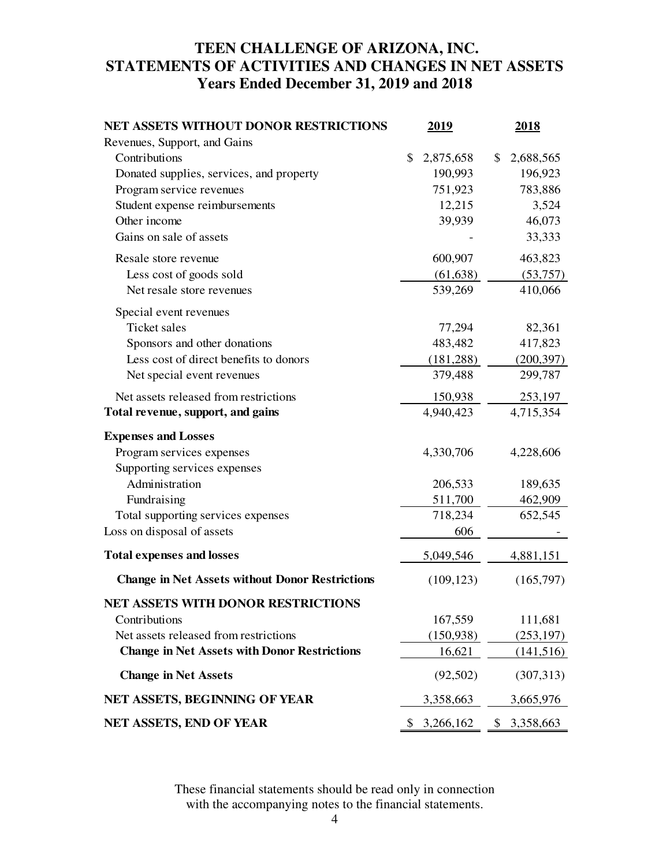## **TEEN CHALLENGE OF ARIZONA, INC. STATEMENTS OF ACTIVITIES AND CHANGES IN NET ASSETS Years Ended December 31, 2019 and 2018**

| <b>NET ASSETS WITHOUT DONOR RESTRICTIONS</b>           | 2019            | 2018            |
|--------------------------------------------------------|-----------------|-----------------|
| Revenues, Support, and Gains                           |                 |                 |
| Contributions                                          | \$<br>2,875,658 | \$<br>2,688,565 |
| Donated supplies, services, and property               | 190,993         | 196,923         |
| Program service revenues                               | 751,923         | 783,886         |
| Student expense reimbursements                         | 12,215          | 3,524           |
| Other income                                           | 39,939          | 46,073          |
| Gains on sale of assets                                |                 | 33,333          |
| Resale store revenue                                   | 600,907         | 463,823         |
| Less cost of goods sold                                | (61, 638)       | (53,757)        |
| Net resale store revenues                              | 539,269         | 410,066         |
| Special event revenues                                 |                 |                 |
| Ticket sales                                           | 77,294          | 82,361          |
| Sponsors and other donations                           | 483,482         | 417,823         |
| Less cost of direct benefits to donors                 | (181, 288)      | (200, 397)      |
| Net special event revenues                             | 379,488         | 299,787         |
| Net assets released from restrictions                  | 150,938         | 253,197         |
| Total revenue, support, and gains                      | 4,940,423       | 4,715,354       |
| <b>Expenses and Losses</b>                             |                 |                 |
| Program services expenses                              | 4,330,706       | 4,228,606       |
| Supporting services expenses                           |                 |                 |
| Administration                                         | 206,533         | 189,635         |
| Fundraising                                            | 511,700         | 462,909         |
| Total supporting services expenses                     | 718,234         | 652,545         |
| Loss on disposal of assets                             | 606             |                 |
| <b>Total expenses and losses</b>                       | 5,049,546       | 4,881,151       |
| <b>Change in Net Assets without Donor Restrictions</b> | (109, 123)      | (165,797)       |
| <b>NET ASSETS WITH DONOR RESTRICTIONS</b>              |                 |                 |
| Contributions                                          | 167,559         | 111,681         |
| Net assets released from restrictions                  | (150, 938)      | (253, 197)      |
| <b>Change in Net Assets with Donor Restrictions</b>    | 16,621          | (141, 516)      |
| <b>Change in Net Assets</b>                            | (92, 502)       | (307, 313)      |
| NET ASSETS, BEGINNING OF YEAR                          | 3,358,663       | 3,665,976       |
| NET ASSETS, END OF YEAR                                | \$<br>3,266,162 | \$<br>3,358,663 |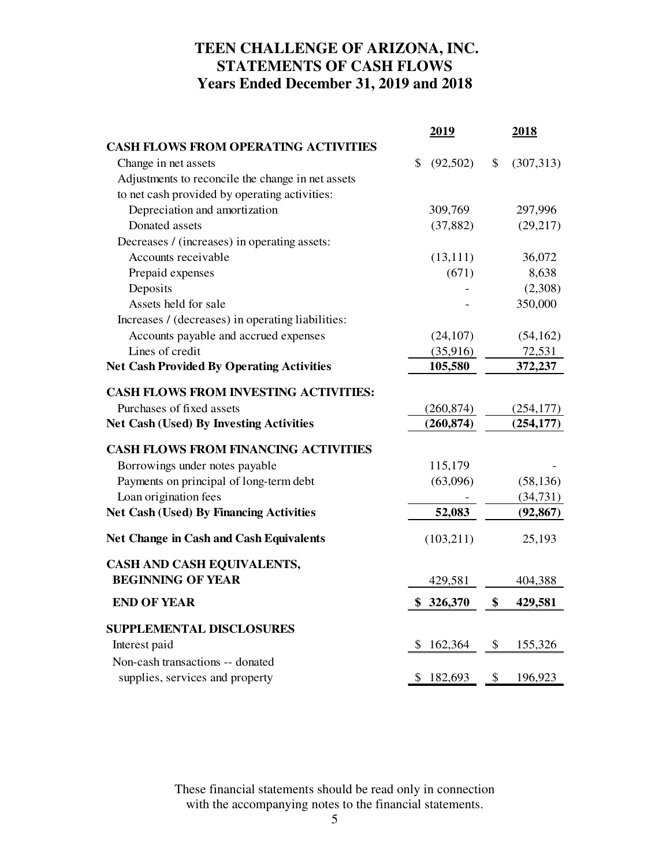## **TEEN CHALLENGE OF ARIZONA, INC. STATEMENTS OF CASH FLOWS Years Ended December 31, 2019 and 2018**

|                                                   | <u>2019</u>     | 2018             |
|---------------------------------------------------|-----------------|------------------|
| <b>CASH FLOWS FROM OPERATING ACTIVITIES</b>       |                 |                  |
| Change in net assets                              | (92, 502)<br>\$ | \$<br>(307, 313) |
| Adjustments to reconcile the change in net assets |                 |                  |
| to net cash provided by operating activities:     |                 |                  |
| Depreciation and amortization                     | 309,769         | 297,996          |
| Donated assets                                    | (37, 882)       | (29, 217)        |
| Decreases / (increases) in operating assets:      |                 |                  |
| Accounts receivable                               | (13, 111)       | 36,072           |
| Prepaid expenses                                  | (671)           | 8,638            |
| Deposits                                          |                 | (2,308)          |
| Assets held for sale                              |                 | 350,000          |
| Increases / (decreases) in operating liabilities: |                 |                  |
| Accounts payable and accrued expenses             | (24, 107)       | (54, 162)        |
| Lines of credit                                   | (35,916)        | 72,531           |
| <b>Net Cash Provided By Operating Activities</b>  | 105,580         | 372,237          |
| <b>CASH FLOWS FROM INVESTING ACTIVITIES:</b>      |                 |                  |
| Purchases of fixed assets                         | (260, 874)      | (254, 177)       |
| <b>Net Cash (Used) By Investing Activities</b>    | (260, 874)      | (254, 177)       |
| <b>CASH FLOWS FROM FINANCING ACTIVITIES</b>       |                 |                  |
| Borrowings under notes payable                    | 115,179         |                  |
| Payments on principal of long-term debt           | (63,096)        | (58, 136)        |
| Loan origination fees                             |                 | (34, 731)        |
| <b>Net Cash (Used) By Financing Activities</b>    | 52,083          | (92, 867)        |
| <b>Net Change in Cash and Cash Equivalents</b>    | (103,211)       | 25,193           |
| CASH AND CASH EQUIVALENTS,                        |                 |                  |
| <b>BEGINNING OF YEAR</b>                          | 429,581         | 404,388          |
| <b>END OF YEAR</b>                                | \$<br>326,370   | \$<br>429,581    |
| <b>SUPPLEMENTAL DISCLOSURES</b>                   |                 |                  |
| Interest paid                                     | 162,364<br>\$   | \$<br>155,326    |
| Non-cash transactions -- donated                  |                 |                  |
| supplies, services and property                   | \$<br>182,693   | \$<br>196,923    |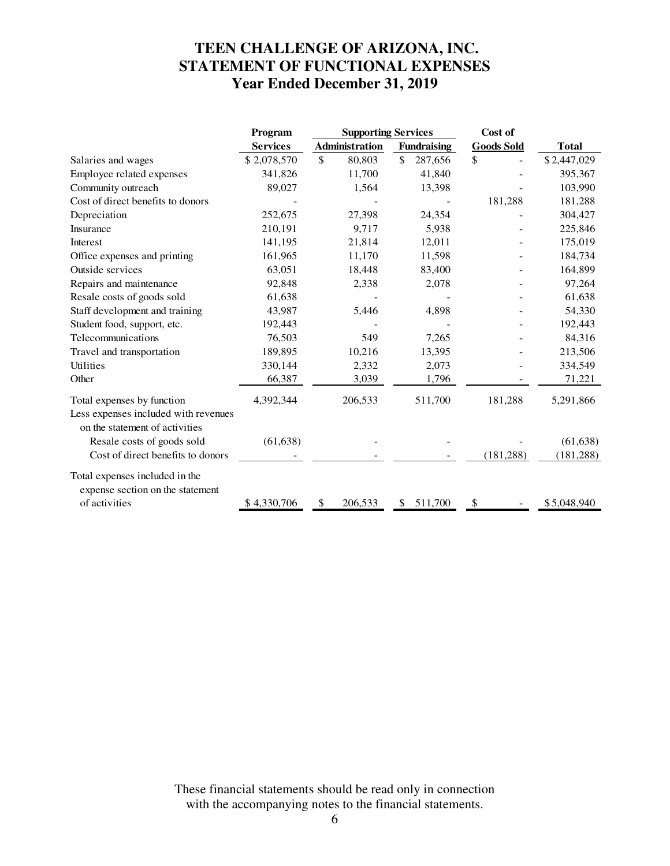# **TEEN CHALLENGE OF ARIZONA, INC. STATEMENT OF FUNCTIONAL EXPENSES Year Ended December 31, 2019**

|                                                                                                      | Program         | <b>Supporting Services</b> |                       | Cost of |                    |                   |                         |
|------------------------------------------------------------------------------------------------------|-----------------|----------------------------|-----------------------|---------|--------------------|-------------------|-------------------------|
|                                                                                                      | <b>Services</b> |                            | <b>Administration</b> |         | <b>Fundraising</b> | <b>Goods Sold</b> | <b>Total</b>            |
| Salaries and wages                                                                                   | \$2,078,570     | \$                         | 80,803                | \$      | 287,656            | \$                | \$2,447,029             |
| Employee related expenses                                                                            | 341,826         |                            | 11,700                |         | 41,840             |                   | 395,367                 |
| Community outreach                                                                                   | 89,027          |                            | 1,564                 |         | 13,398             |                   | 103,990                 |
| Cost of direct benefits to donors                                                                    |                 |                            |                       |         |                    | 181,288           | 181,288                 |
| Depreciation                                                                                         | 252,675         |                            | 27,398                |         | 24,354             |                   | 304,427                 |
| Insurance                                                                                            | 210,191         |                            | 9,717                 |         | 5,938              |                   | 225,846                 |
| Interest                                                                                             | 141,195         |                            | 21,814                |         | 12,011             |                   | 175,019                 |
| Office expenses and printing                                                                         | 161,965         |                            | 11,170                |         | 11,598             |                   | 184,734                 |
| Outside services                                                                                     | 63,051          |                            | 18,448                |         | 83,400             |                   | 164,899                 |
| Repairs and maintenance                                                                              | 92,848          |                            | 2,338                 |         | 2,078              |                   | 97,264                  |
| Resale costs of goods sold                                                                           | 61,638          |                            |                       |         |                    |                   | 61,638                  |
| Staff development and training                                                                       | 43,987          |                            | 5,446                 |         | 4,898              |                   | 54,330                  |
| Student food, support, etc.                                                                          | 192,443         |                            |                       |         |                    |                   | 192,443                 |
| Telecommunications                                                                                   | 76,503          |                            | 549                   |         | 7,265              |                   | 84,316                  |
| Travel and transportation                                                                            | 189,895         |                            | 10,216                |         | 13,395             |                   | 213,506                 |
| Utilities                                                                                            | 330,144         |                            | 2,332                 |         | 2,073              |                   | 334,549                 |
| Other                                                                                                | 66,387          |                            | 3,039                 |         | 1,796              |                   | 71,221                  |
| Total expenses by function<br>Less expenses included with revenues<br>on the statement of activities | 4,392,344       |                            | 206,533               |         | 511,700            | 181,288           | 5,291,866               |
| Resale costs of goods sold<br>Cost of direct benefits to donors                                      | (61, 638)       |                            |                       |         |                    | (181, 288)        | (61, 638)<br>(181, 288) |
|                                                                                                      |                 |                            |                       |         |                    |                   |                         |
| Total expenses included in the<br>expense section on the statement                                   |                 |                            |                       |         |                    |                   |                         |
| of activities                                                                                        | \$4,330,706     | \$                         | 206,533               | \$.     | 511,700            | \$                | \$5,048,940             |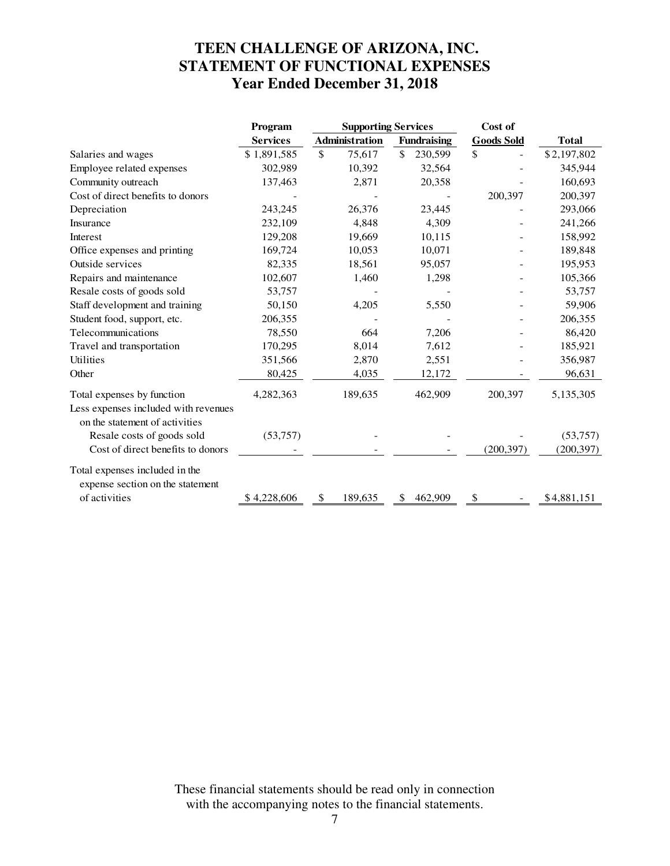# **TEEN CHALLENGE OF ARIZONA, INC. STATEMENT OF FUNCTIONAL EXPENSES Year Ended December 31, 2018**

|                                                                                                      | Program         | <b>Supporting Services</b> |                          | Cost of           |              |
|------------------------------------------------------------------------------------------------------|-----------------|----------------------------|--------------------------|-------------------|--------------|
|                                                                                                      | <b>Services</b> | Administration             | <b>Fundraising</b>       | <b>Goods Sold</b> | <b>Total</b> |
| Salaries and wages                                                                                   | \$1,891,585     | \$<br>75,617               | \$<br>230,599            | \$                | \$2,197,802  |
| Employee related expenses                                                                            | 302,989         | 10,392                     | 32,564                   |                   | 345,944      |
| Community outreach                                                                                   | 137,463         | 2,871                      | 20,358                   |                   | 160,693      |
| Cost of direct benefits to donors                                                                    |                 |                            |                          | 200,397           | 200,397      |
| Depreciation                                                                                         | 243,245         | 26,376                     | 23,445                   |                   | 293,066      |
| Insurance                                                                                            | 232,109         | 4,848                      | 4,309                    |                   | 241,266      |
| Interest                                                                                             | 129,208         | 19,669                     | 10,115                   |                   | 158,992      |
| Office expenses and printing                                                                         | 169,724         | 10,053                     | 10,071                   |                   | 189,848      |
| Outside services                                                                                     | 82,335          | 18,561                     | 95,057                   |                   | 195,953      |
| Repairs and maintenance                                                                              | 102,607         | 1,460                      | 1,298                    |                   | 105,366      |
| Resale costs of goods sold                                                                           | 53,757          |                            |                          |                   | 53,757       |
| Staff development and training                                                                       | 50,150          | 4,205                      | 5,550                    |                   | 59,906       |
| Student food, support, etc.                                                                          | 206,355         |                            |                          |                   | 206,355      |
| Telecommunications                                                                                   | 78,550          | 664                        | 7,206                    |                   | 86,420       |
| Travel and transportation                                                                            | 170,295         | 8,014                      | 7,612                    |                   | 185,921      |
| Utilities                                                                                            | 351,566         | 2,870                      | 2,551                    |                   | 356,987      |
| Other                                                                                                | 80,425          | 4,035                      | 12,172                   |                   | 96,631       |
| Total expenses by function<br>Less expenses included with revenues<br>on the statement of activities | 4,282,363       | 189,635                    | 462,909                  | 200,397           | 5,135,305    |
| Resale costs of goods sold                                                                           | (53,757)        |                            |                          |                   | (53,757)     |
| Cost of direct benefits to donors                                                                    |                 |                            |                          | (200, 397)        | (200, 397)   |
| Total expenses included in the<br>expense section on the statement                                   |                 |                            |                          |                   |              |
| of activities                                                                                        | \$4,228,606     | 189,635<br>\$              | 462,909<br><sup>\$</sup> | \$                | \$4,881,151  |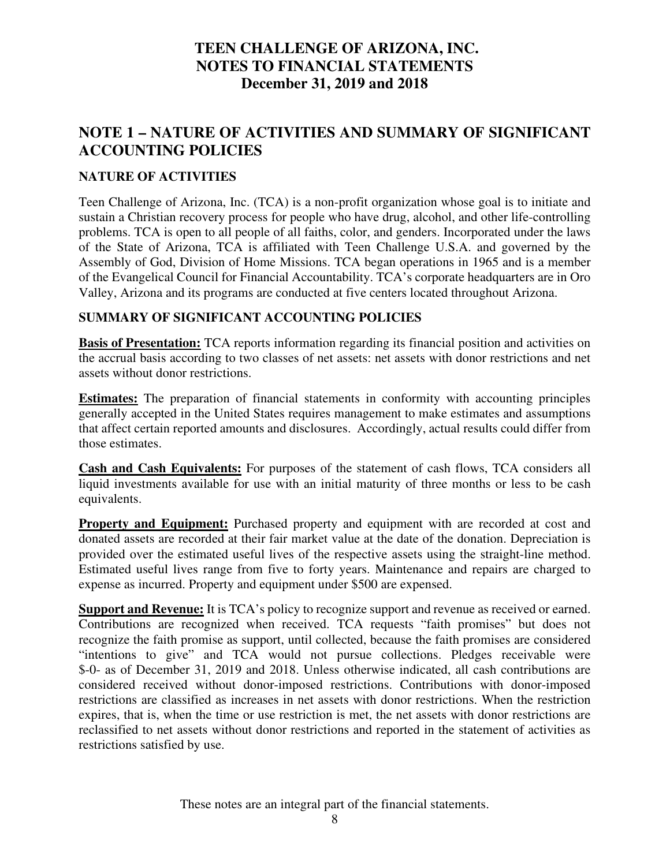## **NOTE 1 – NATURE OF ACTIVITIES AND SUMMARY OF SIGNIFICANT ACCOUNTING POLICIES**

#### **NATURE OF ACTIVITIES**

Teen Challenge of Arizona, Inc. (TCA) is a non-profit organization whose goal is to initiate and sustain a Christian recovery process for people who have drug, alcohol, and other life-controlling problems. TCA is open to all people of all faiths, color, and genders. Incorporated under the laws of the State of Arizona, TCA is affiliated with Teen Challenge U.S.A. and governed by the Assembly of God, Division of Home Missions. TCA began operations in 1965 and is a member of the Evangelical Council for Financial Accountability. TCA's corporate headquarters are in Oro Valley, Arizona and its programs are conducted at five centers located throughout Arizona.

#### **SUMMARY OF SIGNIFICANT ACCOUNTING POLICIES**

**Basis of Presentation:** TCA reports information regarding its financial position and activities on the accrual basis according to two classes of net assets: net assets with donor restrictions and net assets without donor restrictions.

**Estimates:** The preparation of financial statements in conformity with accounting principles generally accepted in the United States requires management to make estimates and assumptions that affect certain reported amounts and disclosures. Accordingly, actual results could differ from those estimates.

**Cash and Cash Equivalents:** For purposes of the statement of cash flows, TCA considers all liquid investments available for use with an initial maturity of three months or less to be cash equivalents.

**Property and Equipment:** Purchased property and equipment with are recorded at cost and donated assets are recorded at their fair market value at the date of the donation. Depreciation is provided over the estimated useful lives of the respective assets using the straight-line method. Estimated useful lives range from five to forty years. Maintenance and repairs are charged to expense as incurred. Property and equipment under \$500 are expensed.

**Support and Revenue:** It is TCA's policy to recognize support and revenue as received or earned. Contributions are recognized when received. TCA requests "faith promises" but does not recognize the faith promise as support, until collected, because the faith promises are considered "intentions to give" and TCA would not pursue collections. Pledges receivable were \$-0- as of December 31, 2019 and 2018. Unless otherwise indicated, all cash contributions are considered received without donor-imposed restrictions. Contributions with donor-imposed restrictions are classified as increases in net assets with donor restrictions. When the restriction expires, that is, when the time or use restriction is met, the net assets with donor restrictions are reclassified to net assets without donor restrictions and reported in the statement of activities as restrictions satisfied by use.

These notes are an integral part of the financial statements.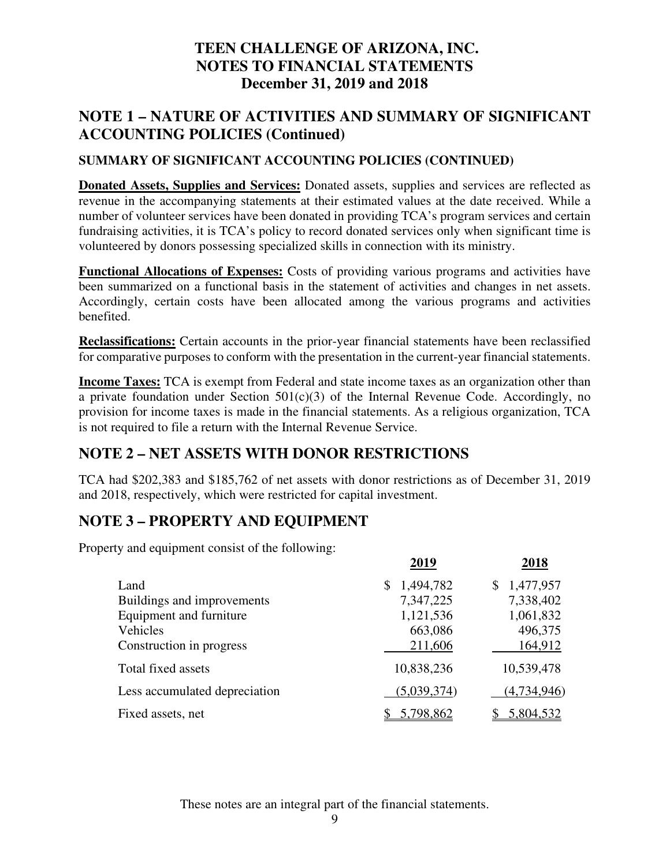## **NOTE 1 – NATURE OF ACTIVITIES AND SUMMARY OF SIGNIFICANT ACCOUNTING POLICIES (Continued)**

#### **SUMMARY OF SIGNIFICANT ACCOUNTING POLICIES (CONTINUED)**

**Donated Assets, Supplies and Services:** Donated assets, supplies and services are reflected as revenue in the accompanying statements at their estimated values at the date received. While a number of volunteer services have been donated in providing TCA's program services and certain fundraising activities, it is TCA's policy to record donated services only when significant time is volunteered by donors possessing specialized skills in connection with its ministry.

**Functional Allocations of Expenses:** Costs of providing various programs and activities have been summarized on a functional basis in the statement of activities and changes in net assets. Accordingly, certain costs have been allocated among the various programs and activities benefited.

**Reclassifications:** Certain accounts in the prior-year financial statements have been reclassified for comparative purposes to conform with the presentation in the current-year financial statements.

**Income Taxes:** TCA is exempt from Federal and state income taxes as an organization other than a private foundation under Section  $501(c)(3)$  of the Internal Revenue Code. Accordingly, no provision for income taxes is made in the financial statements. As a religious organization, TCA is not required to file a return with the Internal Revenue Service.

## **NOTE 2 – NET ASSETS WITH DONOR RESTRICTIONS**

TCA had \$202,383 and \$185,762 of net assets with donor restrictions as of December 31, 2019 and 2018, respectively, which were restricted for capital investment.

## **NOTE 3 – PROPERTY AND EQUIPMENT**

Property and equipment consist of the following:

|                               | 2019        | 2018            |
|-------------------------------|-------------|-----------------|
| Land                          | 1,494,782   | 1,477,957<br>S. |
| Buildings and improvements    | 7,347,225   | 7,338,402       |
| Equipment and furniture       | 1,121,536   | 1,061,832       |
| Vehicles                      | 663,086     | 496,375         |
| Construction in progress      | 211,606     | 164,912         |
| Total fixed assets            | 10,838,236  | 10,539,478      |
| Less accumulated depreciation | (5,039,374) | (4,734,946)     |
| Fixed assets, net             | 5,798,862   | 5,804,532       |

These notes are an integral part of the financial statements.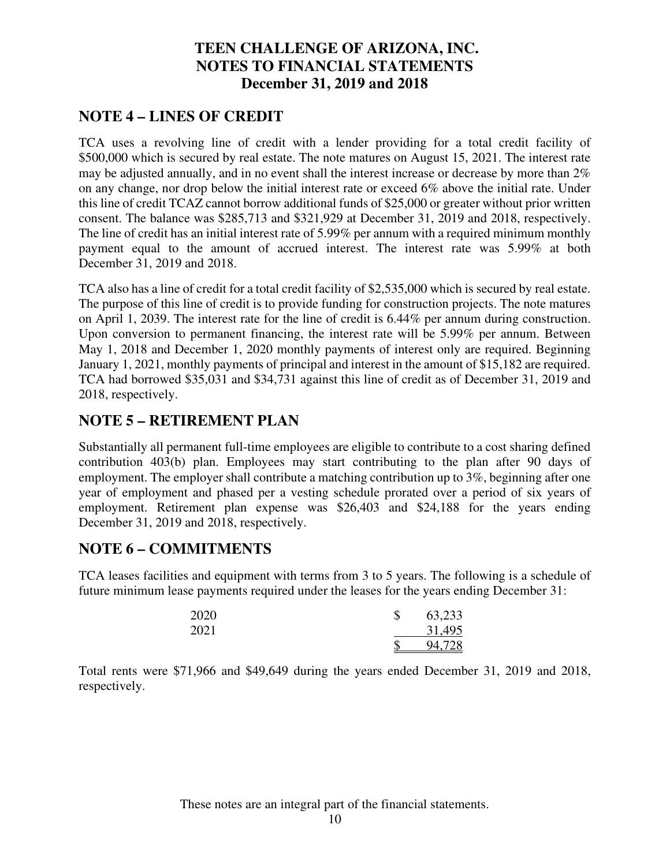## **NOTE 4 – LINES OF CREDIT**

TCA uses a revolving line of credit with a lender providing for a total credit facility of \$500,000 which is secured by real estate. The note matures on August 15, 2021. The interest rate may be adjusted annually, and in no event shall the interest increase or decrease by more than 2% on any change, nor drop below the initial interest rate or exceed 6% above the initial rate. Under this line of credit TCAZ cannot borrow additional funds of \$25,000 or greater without prior written consent. The balance was \$285,713 and \$321,929 at December 31, 2019 and 2018, respectively. The line of credit has an initial interest rate of 5.99% per annum with a required minimum monthly payment equal to the amount of accrued interest. The interest rate was 5.99% at both December 31, 2019 and 2018.

TCA also has a line of credit for a total credit facility of \$2,535,000 which is secured by real estate. The purpose of this line of credit is to provide funding for construction projects. The note matures on April 1, 2039. The interest rate for the line of credit is 6.44% per annum during construction. Upon conversion to permanent financing, the interest rate will be 5.99% per annum. Between May 1, 2018 and December 1, 2020 monthly payments of interest only are required. Beginning January 1, 2021, monthly payments of principal and interest in the amount of \$15,182 are required. TCA had borrowed \$35,031 and \$34,731 against this line of credit as of December 31, 2019 and 2018, respectively.

## **NOTE 5 – RETIREMENT PLAN**

Substantially all permanent full-time employees are eligible to contribute to a cost sharing defined contribution 403(b) plan. Employees may start contributing to the plan after 90 days of employment. The employer shall contribute a matching contribution up to 3%, beginning after one year of employment and phased per a vesting schedule prorated over a period of six years of employment. Retirement plan expense was \$26,403 and \$24,188 for the years ending December 31, 2019 and 2018, respectively.

### **NOTE 6 – COMMITMENTS**

TCA leases facilities and equipment with terms from 3 to 5 years. The following is a schedule of future minimum lease payments required under the leases for the years ending December 31:

| 2020 | \$ | 63,233 |
|------|----|--------|
| 2021 |    | 31,495 |
|      | Φ  | 94,728 |

Total rents were \$71,966 and \$49,649 during the years ended December 31, 2019 and 2018, respectively.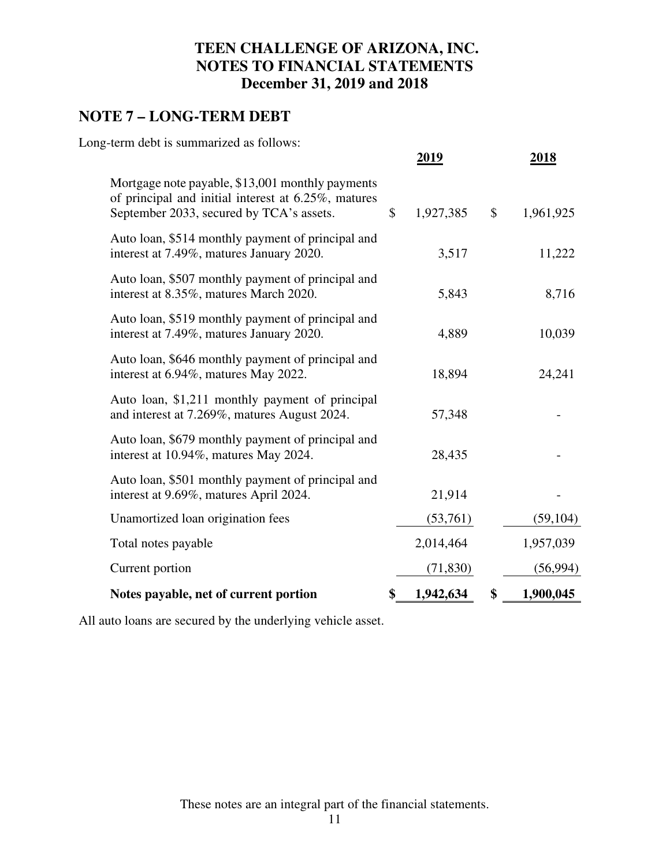## **NOTE 7 – LONG-TERM DEBT**

Long-term debt is summarized as follows:

|                                                                                                                                                     | 2019                      |              | 2018      |
|-----------------------------------------------------------------------------------------------------------------------------------------------------|---------------------------|--------------|-----------|
| Mortgage note payable, \$13,001 monthly payments<br>of principal and initial interest at 6.25%, matures<br>September 2033, secured by TCA's assets. | 1,927,385<br>$\mathbb{S}$ | $\mathbb{S}$ | 1,961,925 |
| Auto loan, \$514 monthly payment of principal and<br>interest at 7.49%, matures January 2020.                                                       | 3,517                     |              | 11,222    |
| Auto loan, \$507 monthly payment of principal and<br>interest at 8.35%, matures March 2020.                                                         | 5,843                     |              | 8,716     |
| Auto loan, \$519 monthly payment of principal and<br>interest at 7.49%, matures January 2020.                                                       | 4,889                     |              | 10,039    |
| Auto loan, \$646 monthly payment of principal and<br>interest at 6.94%, matures May 2022.                                                           | 18,894                    |              | 24,241    |
| Auto loan, \$1,211 monthly payment of principal<br>and interest at 7.269%, matures August 2024.                                                     | 57,348                    |              |           |
| Auto loan, \$679 monthly payment of principal and<br>interest at 10.94%, matures May 2024.                                                          | 28,435                    |              |           |
| Auto loan, \$501 monthly payment of principal and<br>interest at 9.69%, matures April 2024.                                                         | 21,914                    |              |           |
| Unamortized loan origination fees                                                                                                                   | (53,761)                  |              | (59, 104) |
| Total notes payable                                                                                                                                 | 2,014,464                 |              | 1,957,039 |
| Current portion                                                                                                                                     | (71, 830)                 |              | (56,994)  |
| Notes payable, net of current portion                                                                                                               | 1,942,634<br>\$           | \$           | 1,900,045 |

All auto loans are secured by the underlying vehicle asset.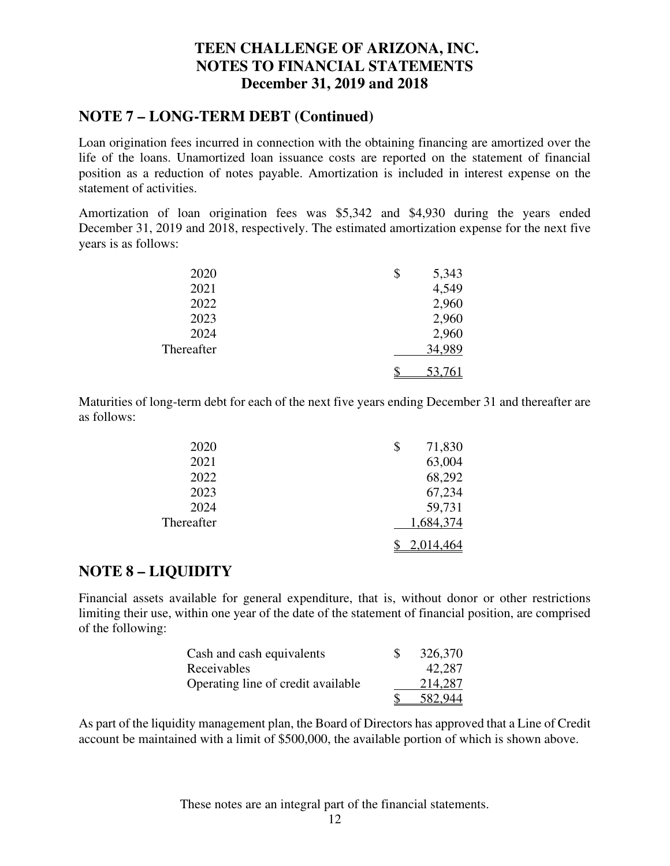### **NOTE 7 – LONG-TERM DEBT (Continued)**

Loan origination fees incurred in connection with the obtaining financing are amortized over the life of the loans. Unamortized loan issuance costs are reported on the statement of financial position as a reduction of notes payable. Amortization is included in interest expense on the statement of activities.

Amortization of loan origination fees was \$5,342 and \$4,930 during the years ended December 31, 2019 and 2018, respectively. The estimated amortization expense for the next five years is as follows:

| 2020       | \$<br>5,343   |
|------------|---------------|
| 2021       | 4,549         |
| 2022       | 2,960         |
| 2023       | 2,960         |
| 2024       | 2,960         |
| Thereafter | 34,989        |
|            | <u>53,761</u> |

Maturities of long-term debt for each of the next five years ending December 31 and thereafter are as follows:

| 2020       | \$<br>71,830     |  |
|------------|------------------|--|
| 2021       | 63,004           |  |
| 2022       | 68,292           |  |
| 2023       | 67,234           |  |
| 2024       | 59,731           |  |
| Thereafter | 1,684,374        |  |
|            | <u>2,014,464</u> |  |

### **NOTE 8 – LIQUIDITY**

Financial assets available for general expenditure, that is, without donor or other restrictions limiting their use, within one year of the date of the statement of financial position, are comprised of the following:

| Cash and cash equivalents          | 326,370 |
|------------------------------------|---------|
| Receivables                        | 42,287  |
| Operating line of credit available | 214,287 |
|                                    | 582.944 |

As part of the liquidity management plan, the Board of Directors has approved that a Line of Credit account be maintained with a limit of \$500,000, the available portion of which is shown above.

These notes are an integral part of the financial statements.